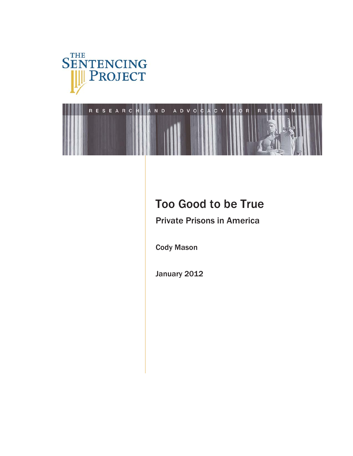



# Too Good to be True

Private Prisons in America

Cody Mason

January 2012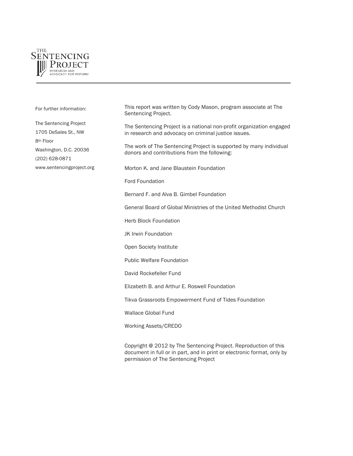

This report was written by Cody Mason, program associate at The Sentencing Project. The Sentencing Project is a national non-profit organization engaged in research and advocacy on criminal justice issues. The work of The Sentencing Project is supported by many individual donors and contributions from the following: Morton K. and Jane Blaustein Foundation Ford Foundation Bernard F. and Alva B. Gimbel Foundation General Board of Global Ministries of the United Methodist Church Herb Block Foundation JK Irwin Foundation Open Society Institute Public Welfare Foundation David Rockefeller Fund Elizabeth B. and Arthur E. Roswell Foundation Tikva Grassroots Empowerment Fund of Tides Foundation Wallace Global Fund Working Assets/CREDO For further information: The Sentencing Project 1705 DeSales St., NW 8th Floor Washington, D.C. 20036 (202) 628-0871 www.sentencingproject.org

Copyright @ 2012 by The Sentencing Project. Reproduction of this document in full or in part, and in print or electronic format, only by permission of The Sentencing Project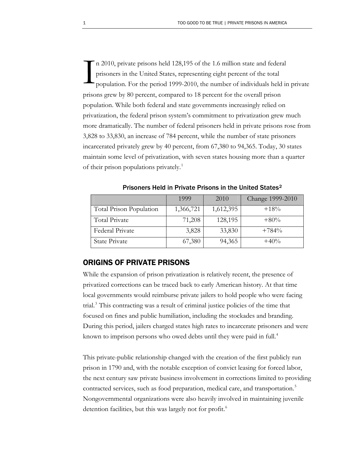n 2010, private prisons held 128,195 of the 1.6 million state and federal prisoners in the United States, representing eight percent of the total population. For the period 1999-2010, the number of individuals held in private prisons grew by 80 percent, compared to 18 percent for the overall prison population. While both federal and state governments increasingly relied on privatization, the federal prison system's commitment to privatization grew much more dramatically. The number of federal prisoners held in private prisons rose from 3,828 to 33,830, an increase of 784 percent, while the number of state prisoners incarcerated privately grew by 40 percent, from 67,380 to 94,365. Today, 30 states maintain some level of privatization, with seven states housing more than a quarter of their prison populations privately.<sup>1</sup>  $\sum_{\text{pris}}$ 

|                         | 1999      | 2010      | Change 1999-2010 |
|-------------------------|-----------|-----------|------------------|
| Total Prison Population | 1,366,721 | 1,612,395 | $+18%$           |
| Total Private           | 71,208    | 128,195   | $+80%$           |
| Federal Private         | 3,828     | 33,830    | $+784%$          |
| <b>State Private</b>    | 67,380    | 94,365    | $+40%$           |

Prisoners Held in Private Prisons in the United States[2](#page-19-1)

### ORIGINS OF PRIVATE PRISONS

While the expansion of prison privatization is relatively recent, the presence of privatized corrections can be traced back to early American history. At that time local governments would reimburse private jailers to hold people who were facing trial.<sup>[3](#page-19-2)</sup> This contracting was a result of criminal justice policies of the time that focused on fines and public humiliation, including the stockades and branding. During this period, jailers charged states high rates to incarcerate prisoners and were known to imprison persons who owed debts until they were paid in full.<sup>[4](#page-19-3)</sup>

This private-public relationship changed with the creation of the first publicly run prison in 1790 and, with the notable exception of convict leasing for forced labor, the next century saw private business involvement in corrections limited to providing contracted services, such as food preparation, medical care, and transportation.<sup>[5](#page-19-4)</sup> Nongovernmental organizations were also heavily involved in maintaining juvenile detention facilities, but this was largely not for profit.<sup>[6](#page-19-5)</sup>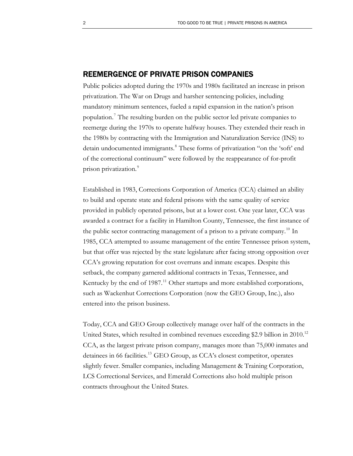### REEMERGENCE OF PRIVATE PRISON COMPANIES

prison privatization.<sup>9</sup> Public policies adopted during the 1970s and 1980s facilitated an increase in prison privatization. The War on Drugs and harsher sentencing policies, including mandatory minimum sentences, fueled a rapid expansion in the nation's prison population.[7](#page-19-6) The resulting burden on the public sector led private companies to reemerge during the 1970s to operate halfway houses. They extended their reach in the 1980s by contracting with the Immigration and Naturalization Service (INS) to detain undocumented immigrants.<sup>[8](#page-19-7)</sup> These forms of privatization "on the 'soft' end of the correctional continuum" were followed by the reappearance of for-profit

Established in 1983, Corrections Corporation of America (CCA) claimed an ability to build and operate state and federal prisons with the same quality of service provided in publicly operated prisons, but at a lower cost. One year later, CCA was awarded a contract for a facility in Hamilton County, Tennessee, the first instance of the public sector contracting management of a prison to a private company.<sup>[10](#page-19-8)</sup> In 1985, CCA attempted to assume management of the entire Tennessee prison system, but that offer was rejected by the state legislature after facing strong opposition over CCA's growing reputation for cost overruns and inmate escapes. Despite this setback, the company garnered additional contracts in Texas, Tennessee, and Kentucky by the end of 1987.<sup>11</sup> Other startups and more established corporations, such as Wackenhut Corrections Corporation (now the GEO Group, Inc.), also entered into the prison business.

Today, CCA and GEO Group collectively manage over half of the contracts in the United States, which resulted in combined revenues exceeding \$2.9 billion in 2010.<sup>[12](#page-19-10)</sup> CCA, as the largest private prison company, manages more than 75,000 inmates and detainees in 66 facilities.<sup>13</sup> GEO Group, as CCA's closest competitor, operates slightly fewer. Smaller companies, including Management & Training Corporation, LCS Correctional Services, and Emerald Corrections also hold multiple prison contracts throughout the United States.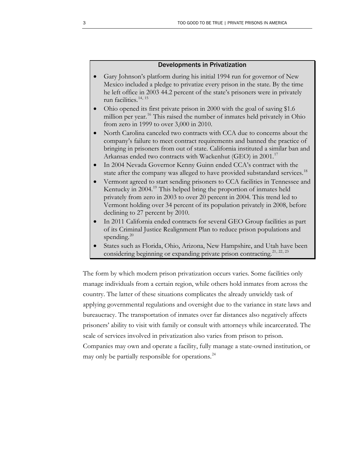### Developments in Privatization

- Gary Johnson's platform during his initial 1994 run for governor of New Mexico included a pledge to privatize every prison in the state. By the time he left office in 2003 44.2 percent of the state's prisoners were in privately run facilities.[14](#page-19-12), [15](#page-19-13)
- Ohio opened its first private prison in 2000 with the goal of saving \$1.6 million per year.<sup>[16](#page-19-14)</sup> This raised the number of inmates held privately in Ohio from zero in 1999 to over 3,000 in 2010.
- North Carolina canceled two contracts with CCA due to concerns about the company's failure to meet contract requirements and banned the practice of bringing in prisoners from out of state. California instituted a similar ban and Arkansas ended two contracts with Wackenhut (GEO) in 2001.<sup>[17](#page-19-15)</sup>
- In 2004 Nevada Governor Kenny Guinn ended CCA's contract with the state after the company was alleged to have provided substandard services.<sup>[18](#page-19-16)</sup>
- Vermont agreed to start sending prisoners to CCA facilities in Tennessee and Kentucky in 2004.<sup>[19](#page-19-17)</sup> This helped bring the proportion of inmates held privately from zero in 2003 to over 20 percent in 2004. This trend led to Vermont holding over 34 percent of its population privately in 2008, before declining to 27 percent by 2010.
- In 2011 California ended contracts for several GEO Group facilities as part of its Criminal Justice Realignment Plan to reduce prison populations and spending. $^{20}$  $^{20}$  $^{20}$
- States such as Florida, Ohio, Arizona, New Hampshire, and Utah have been considering beginning or expanding private prison contracting.<sup>[21](#page-19-19), [22](#page-19-20), [23](#page-19-21)</sup>

The form by which modern prison privatization occurs varies. Some facilities only manage individuals from a certain region, while others hold inmates from across the country. The latter of these situations complicates the already unwieldy task of applying governmental regulations and oversight due to the variance in state laws and bureaucracy. The transportation of inmates over far distances also negatively affects prisoners' ability to visit with family or consult with attorneys while incarcerated. The scale of services involved in privatization also varies from prison to prison. Companies may own and operate a facility, fully manage a state-owned institution, or may only be partially responsible for operations.<sup>[24](#page-19-22)</sup>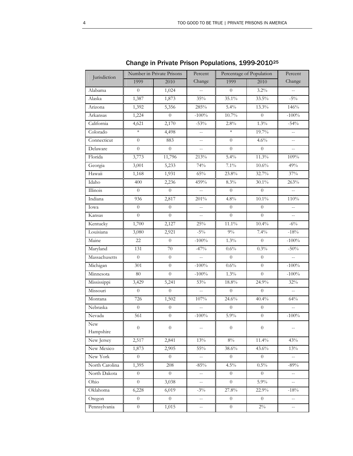| Jurisdiction   | Number in Private Prisons |                  | Percent                  | Percentage of Population |                | Percent                  |
|----------------|---------------------------|------------------|--------------------------|--------------------------|----------------|--------------------------|
|                | 1999                      | 2010             | Change                   | 1999                     | 2010           | Change                   |
| Alabama        | $\overline{0}$            | 1,024            | $\overline{a}$           | $\theta$                 | $3.2\%$        | $\overline{\phantom{a}}$ |
| Alaska         | 1,387                     | 1,873            | 35%                      | 35.1%                    | 33.5%          | $-5\%$                   |
| Arizona        | 1,392                     | 5,356            | 285%                     | 5.4%                     | 13.3%          | 146%                     |
| Arkansas       | 1,224                     | $\overline{0}$   | $-100\%$                 | $10.7\%$                 | $\theta$       | $-100\%$                 |
| California     | 4,621                     | 2,170            | $-53%$                   | 2.8%                     | 1.3%           | $-54%$                   |
| Colorado       | $\ast$                    | 4,498            | $\overline{\phantom{a}}$ | $\ast$                   | 19.7%          | $\overline{\phantom{a}}$ |
| Connecticut    | $\overline{0}$            | 883              | $\overline{\phantom{a}}$ | $\theta$                 | 4.6%           | $\overline{\phantom{a}}$ |
| Delaware       | $\boldsymbol{0}$          | $\overline{0}$   | $\overline{a}$           | $\theta$                 | $\overline{0}$ | $\overline{a}$           |
| Florida        | 3,773                     | 11,796           | 213%                     | 5.4%                     | 11.3%          | 109%                     |
| Georgia        | 3,001                     | 5,233            | 74%                      | $7.1\%$                  | $10.6\%$       | 49%                      |
| Hawaii         | 1,168                     | 1,931            | 65%                      | 23.8%                    | 32.7%          | 37%                      |
| Idaho          | 400                       | 2,236            | 459%                     | 8.3%                     | 30.1%          | 263%                     |
| Illinois       | $\overline{0}$            | $\boldsymbol{0}$ | $\overline{a}$           | $\theta$                 | $\theta$       | $\overline{a}$           |
| Indiana        | 936                       | 2,817            | 201%                     | $4.8\%$                  | $10.1\%$       | 110%                     |
| Iowa           | $\overline{0}$            | $\overline{0}$   | $\overline{a}$           | $\Omega$                 | $\Omega$       | $\overline{a}$           |
| Kansas         | $\overline{0}$            | $\overline{0}$   | $\overline{\phantom{a}}$ | $\overline{0}$           | $\theta$       | $\overline{a}$           |
| Kentucky       | 1,700                     | 2,127            | 25%                      | $11.1\%$                 | 10.4%          | $-6\%$                   |
| Louisiana      | 3,080                     | 2,921            | $-5\%$                   | $9\%$                    | 7.4%           | $-18%$                   |
| Maine          | $\overline{22}$           | $\overline{0}$   | $-100%$                  | 1.3%                     | $\overline{0}$ | $-100%$                  |
| Maryland       | 131                       | $70\,$           | $-47%$                   | $0.6\%$                  | $0.3\%$        | $-50%$                   |
| Massachusetts  | $\overline{0}$            | $\overline{0}$   | $\mathbb{H}^{\perp}$     | $\overline{0}$           | $\theta$       | 44                       |
| Michigan       | 301                       | $\overline{0}$   | $-100\%$                 | $0.6\%$                  | $\theta$       | $-100%$                  |
| Minnesota      | 80                        | $\overline{0}$   | $-100\%$                 | $1.3\%$                  | $\overline{0}$ | $-100\%$                 |
| Mississippi    | 3,429                     | 5,241            | 53%                      | $18.8\%$                 | 24.9%          | 32%                      |
| Missouri       | $\overline{0}$            | $\overline{0}$   | $\overline{a}$           | $\theta$                 | $\theta$       | $\overline{a}$           |
| Montana        | 726                       | 1,502            | 107%                     | 24.6%                    | 40.4%          | 64%                      |
| Nebraska       | $\overline{0}$            | $\boldsymbol{0}$ | $\overline{a}$           | $\overline{0}$           | $\overline{0}$ |                          |
| Nevada         | 561                       | $\boldsymbol{0}$ | $-100%$                  | $5.9\%$                  | $\overline{0}$ | $-100%$                  |
| New            | $\overline{0}$            | $\boldsymbol{0}$ |                          | $\overline{0}$           | $\overline{0}$ |                          |
| Hampshire      |                           |                  |                          |                          |                |                          |
| New Jersey     | 2,517                     | 2,841            | 13%                      | $8\%$                    | 11.4%          | 43%                      |
| New Mexico     | 1,873                     | 2,905            | 55%                      | $38.6\%$                 | 43.6%          | $13\%$                   |
| New York       | $\overline{0}$            | $\overline{0}$   | $\overline{\phantom{a}}$ | $\overline{0}$           | $\overline{0}$ | $\overline{a}$           |
| North Carolina | 1,395                     | 208              | $-85%$                   | $4.5\%$                  | $0.5\%$        | $-89%$                   |
| North Dakota   | $\overline{0}$            | $\overline{0}$   | $\overline{\phantom{a}}$ | $\overline{0}$           | $\theta$       | $\overline{\phantom{a}}$ |
| Ohio           | $\overline{0}$            | 3,038            | $\overline{\phantom{a}}$ | $\overline{0}$           | $5.9\%$        | $\overline{a}$           |
| Oklahoma       | 6,228                     | 6,019            | $-3\%$                   | $27.8\%$                 | 22.9%          | $-18\%$                  |
| Oregon         | $\overline{0}$            | $\overline{0}$   | $\mathbb{R}^2$           | $\overline{0}$           | $\overline{0}$ | 44                       |
| Pennsylvania   | $\boldsymbol{0}$          | 1,015            | $-$                      | $\overline{0}$           | $2\%$          | $\overline{\phantom{a}}$ |

Change in Private Prison Populations, 1999-2010[25](#page-19-23)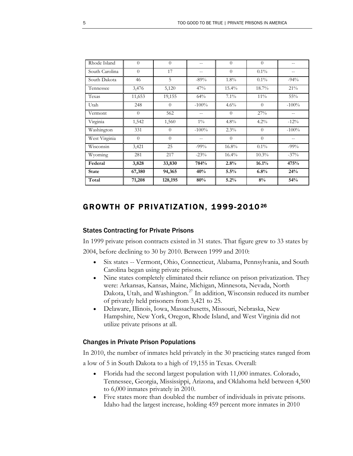| Rhode Island   | $\theta$ | $\Omega$ |         | $\theta$ | $\Omega$ |          |
|----------------|----------|----------|---------|----------|----------|----------|
| South Carolina | $\theta$ | 17       | --      | $\Omega$ | $0.1\%$  |          |
| South Dakota   | 46       | 5        | $-89%$  | $1.8\%$  | $0.1\%$  | $-94%$   |
| Tennessee      | 3,476    | 5,120    | 47%     | $15.4\%$ | $18.7\%$ | 21%      |
| Texas          | 11,653   | 19,155   | 64%     | $7.1\%$  | $11\%$   | 55%      |
| Utah           | 248      | $\Omega$ | $-100%$ | $4.6\%$  | $\Omega$ | $-100\%$ |
| Vermont        | $\theta$ | 562      | $-$     | $\Omega$ | 27%      | $- -$    |
| Virginia       | 1,542    | 1,560    | $1\%$   | 4.8%     | $4.2\%$  | $-12%$   |
| Washington     | 331      | $\Omega$ | $-100%$ | 2.3%     | $\Omega$ | $-100%$  |
| West Virginia  | $\theta$ | $\Omega$ |         | $\Omega$ | $\Omega$ |          |
| Wisconsin      | 3,421    | 25       | $-99\%$ | 16.8%    | $0.1\%$  | $-99%$   |
| Wyoming        | 281      | 217      | $-23\%$ | $16.4\%$ | $10.3\%$ | $-37%$   |
| Federal        | 3,828    | 33,830   | 784%    | 2.8%     | 16.1%    | 475%     |
| <b>State</b>   | 67,380   | 94,365   | 40%     | 5.5%     | 6.8%     | 24%      |
| Total          | 71,208   | 128,195  | 80%     | 5.2%     | 8%       | 54%      |

### GROWTH OF PRIVATIZATION, 1999-2010 [26](#page-20-0)

### States Contracting for Private Prisons

In 1999 private prison contracts existed in 31 states. That figure grew to 33 states by 2004, before declining to 30 by 2010. Between 1999 and 2010:

- Six states -- Vermont, Ohio, Connecticut, Alabama, Pennsylvania, and South Carolina began using private prisons.
- Nine states completely eliminated their reliance on prison privatization. They were: Arkansas, Kansas, Maine, Michigan, Minnesota, Nevada, North Dakota, Utah, and Washington.[27](#page-20-1) In addition, Wisconsin reduced its number of privately held prisoners from 3,421 to 25.
- Delaware, Illinois, Iowa, Massachusetts, Missouri, Nebraska, New Hampshire, New York, Oregon, Rhode Island, and West Virginia did not utilize private prisons at all.

### Changes in Private Prison Populations

In 2010, the number of inmates held privately in the 30 practicing states ranged from a low of 5 in South Dakota to a high of 19,155 in Texas. Overall:

- Florida had the second largest population with 11,000 inmates. Colorado, Tennessee, Georgia, Mississippi, Arizona, and Oklahoma held between 4,500 to 6,000 inmates privately in 2010.
- Five states more than doubled the number of individuals in private prisons. Idaho had the largest increase, holding 459 percent more inmates in 2010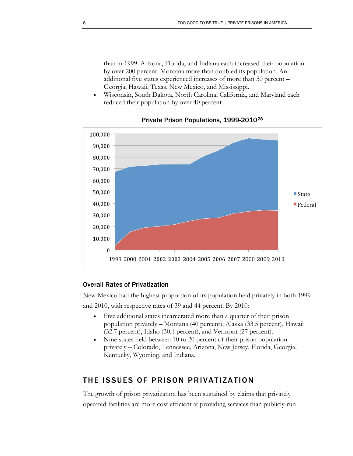than in 1999. Arizona, Florida, and Indiana each increased their population by over 200 percent. Montana more than doubled its population. An additional five states experienced increases of more than 50 percent – Georgia, Hawaii, Texas, New Mexico, and Mississippi.

 Wisconsin, South Dakota, North Carolina, California, and Maryland each reduced their population by over 40 percent.



### Private Prison Populations, 1999-2010[28](#page-20-2)

### Overall Rates of Privatization

New Mexico had the highest proportion of its population held privately in both 1999 and 2010, with respective rates of 39 and 44 percent. By 2010:

- Five additional states incarcerated more than a quarter of their prison population privately – Montana (40 percent), Alaska (33.5 percent), Hawaii (32.7 percent), Idaho (30.1 percent), and Vermont (27 percent).
- Nine states held between 10 to 20 percent of their prison population privately – Colorado, Tennessee, Arizona, New Jersey, Florida, Georgia, Kentucky, Wyoming, and Indiana.

### THE ISSUES OF PRISON PRIVATIZATION

The growth of prison privatization has been sustained by claims that privately operated facilities are more cost efficient at providing services than publicly-run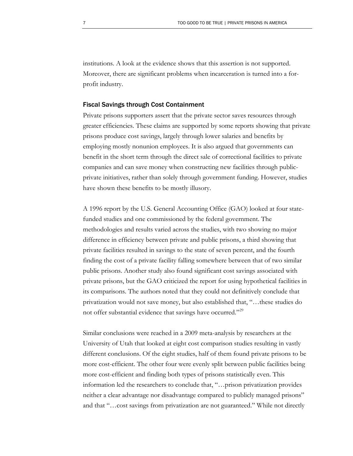institutions. A look at the evidence shows that this assertion is not supported. Moreover, there are significant problems when incarceration is turned into a forprofit industry.

#### Fiscal Savings through Cost Containment

Private prisons supporters assert that the private sector saves resources through greater efficiencies. These claims are supported by some reports showing that private prisons produce cost savings, largely through lower salaries and benefits by employing mostly nonunion employees. It is also argued that governments can benefit in the short term through the direct sale of correctional facilities to private companies and can save money when constructing new facilities through publicprivate initiatives, rather than solely through government funding. However, studies have shown these benefits to be mostly illusory.

A 1996 report by the U.S. General Accounting Office (GAO) looked at four statefunded studies and one commissioned by the federal government. The methodologies and results varied across the studies, with two showing no major difference in efficiency between private and public prisons, a third showing that private facilities resulted in savings to the state of seven percent, and the fourth finding the cost of a private facility falling somewhere between that of two similar public prisons. Another study also found significant cost savings associated with private prisons, but the GAO criticized the report for using hypothetical facilities in its comparisons. The authors noted that they could not definitively conclude that privatization would not save money, but also established that, "…these studies do not offer substantial evidence that savings have occurred."<sup>[29](#page-20-3)</sup>

Similar conclusions were reached in a 2009 meta-analysis by researchers at the University of Utah that looked at eight cost comparison studies resulting in vastly different conclusions. Of the eight studies, half of them found private prisons to be more cost-efficient. The other four were evenly split between public facilities being more cost-efficient and finding both types of prisons statistically even. This information led the researchers to conclude that, "…prison privatization provides neither a clear advantage nor disadvantage compared to publicly managed prisons" and that "…cost savings from privatization are not guaranteed." While not directly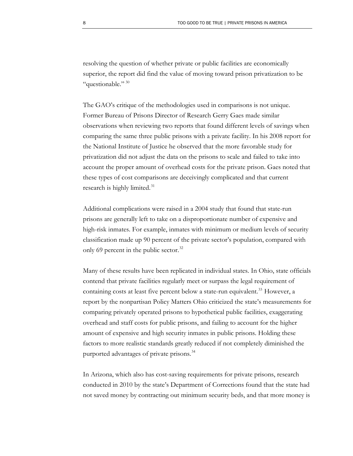resolving the question of whether private or public facilities are economically superior, the report did find the value of moving toward prison privatization to be "questionable." 30

The GAO's critique of the methodologies used in comparisons is not unique. Former Bureau of Prisons Director of Research Gerry Gaes made similar observations when reviewing two reports that found different levels of savings when comparing the same three public prisons with a private facility. In his 2008 report for the National Institute of Justice he observed that the more favorable study for privatization did not adjust the data on the prisons to scale and failed to take into account the proper amount of overhead costs for the private prison. Gaes noted that these types of cost comparisons are deceivingly complicated and that current research is highly limited. $31$ 

Additional complications were raised in a 2004 study that found that state-run prisons are generally left to take on a disproportionate number of expensive and high-risk inmates. For example, inmates with minimum or medium levels of security classification made up 90 percent of the private sector's population, compared with only 69 percent in the public sector.<sup>[32](#page-20-6)</sup>

Many of these results have been replicated in individual states. In Ohio, state officials contend that private facilities regularly meet or surpass the legal requirement of containing costs at least five percent below a state-run equivalent.<sup>[33](#page-20-7)</sup> However, a report by the nonpartisan Policy Matters Ohio criticized the state's measurements for comparing privately operated prisons to hypothetical public facilities, exaggerating overhead and staff costs for public prisons, and failing to account for the higher amount of expensive and high security inmates in public prisons. Holding these factors to more realistic standards greatly reduced if not completely diminished the purported advantages of private prisons.<sup>[34](#page-20-8)</sup>

In Arizona, which also has cost-saving requirements for private prisons, research conducted in 2010 by the state's Department of Corrections found that the state had not saved money by contracting out minimum security beds, and that more money is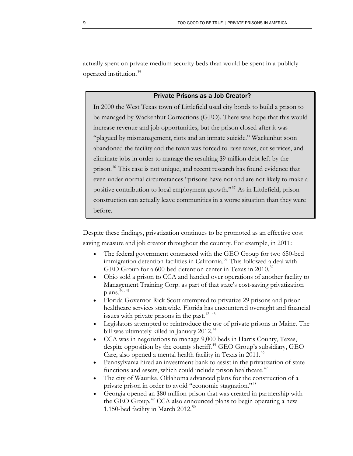actually spent on private medium security beds than would be spent in a publicly operated institution.[35](#page-20-9)

### Private Prisons as a Job Creator?

In 2000 the West Texas town of Littlefield used city bonds to build a prison to be managed by Wackenhut Corrections (GEO). There was hope that this would increase revenue and job opportunities, but the prison closed after it was "plagued by mismanagement, riots and an inmate suicide." Wackenhut soon abandoned the facility and the town was forced to raise taxes, cut services, and eliminate jobs in order to manage the resulting \$9 million debt left by the prison.[36](#page-20-10) This case is not unique, and recent research has found evidence that even under normal circumstances "prisons have not and are not likely to make a positive contribution to local employment growth."[37](#page-20-11) As in Littlefield, prison construction can actually leave communities in a worse situation than they were before.

Despite these findings, privatization continues to be promoted as an effective cost saving measure and job creator throughout the country. For example, in 2011:

- The federal government contracted with the GEO Group for two 650-bed immigration detention facilities in California.<sup>[38](#page-20-12)</sup> This followed a deal with GEO Group for a 600-bed detention center in Texas in 2010.<sup>[39](#page-20-13)</sup>
- Ohio sold a prison to CCA and handed over operations of another facility to Management Training Corp. as part of that state's cost-saving privatization plans. $40, 41$  $40, 41$  $40, 41$
- Florida Governor Rick Scott attempted to privatize 29 prisons and prison healthcare services statewide. Florida has encountered oversight and financial issues with private prisons in the past.<sup>[42](#page-20-16), [43](#page-20-17)</sup>
- Legislators attempted to reintroduce the use of private prisons in Maine. The bill was ultimately killed in January 2012.<sup>[44](#page-20-18)</sup>
- CCA was in negotiations to manage 9,000 beds in Harris County, Texas, despite opposition by the county sheriff.<sup>[45](#page-21-0)</sup> GEO Group's subsidiary, GEO Care, also opened a mental health facility in Texas in 2011.<sup>[46](#page-21-1)</sup>
- Pennsylvania hired an investment bank to assist in the privatization of state functions and assets, which could include prison healthcare.<sup>[47](#page-21-2)</sup>
- The city of Waurika, Oklahoma advanced plans for the construction of a private prison in order to avoid "economic stagnation."[48](#page-21-3)
- Georgia opened an \$80 million prison that was created in partnership with the GEO Group.<sup>[49](#page-21-4)</sup> CCA also announced plans to begin operating a new 1,1[50](#page-21-5)-bed facility in March  $2012.^{50}$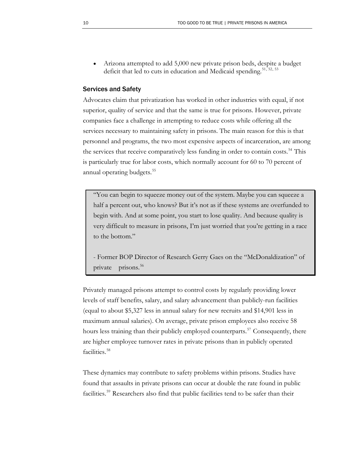Arizona attempted to add 5,000 new private prison beds, despite a budget deficit that led to cuts in education and Medicaid spending.<sup>51, [52](#page-21-7), [53](#page-21-8)</sup>

### Services and Safety

is particularly true for labor costs, which normally account for 60 to 70 percent of Advocates claim that privatization has worked in other industries with equal, if not superior, quality of service and that the same is true for prisons. However, private companies face a challenge in attempting to reduce costs while offering all the services necessary to maintaining safety in prisons. The main reason for this is that personnel and programs, the two most expensive aspects of incarceration, are among the services that receive comparatively less funding in order to contain costs.<sup>[54](#page-21-9)</sup> This annual operating budgets.<sup>[55](#page-21-10)</sup>

"You can begin to squeeze money out of the system. Maybe you can squeeze a half a percent out, who knows? But it's not as if these systems are overfunded to begin with. And at some point, you start to lose quality. And because quality is very difficult to measure in prisons, I'm just worried that you're getting in a race to the bottom."

- Former BOP Director of Research Gerry Gaes on the "McDonaldization" of private prisons.<sup>[56](#page-21-11)</sup>

Privately managed prisons attempt to control costs by regularly providing lower levels of staff benefits, salary, and salary advancement than publicly-run facilities (equal to about \$5,327 less in annual salary for new recruits and \$14,901 less in maximum annual salaries). On average, private prison employees also receive 58 hours less training than their publicly employed counterparts.<sup>[57](#page-21-12)</sup> Consequently, there are higher employee turnover rates in private prisons than in publicly operated facilities.<sup>[58](#page-21-13)</sup>

These dynamics may contribute to safety problems within prisons. Studies have found that assaults in private prisons can occur at double the rate found in public facilities.<sup>[59](#page-21-14)</sup> Researchers also find that public facilities tend to be safer than their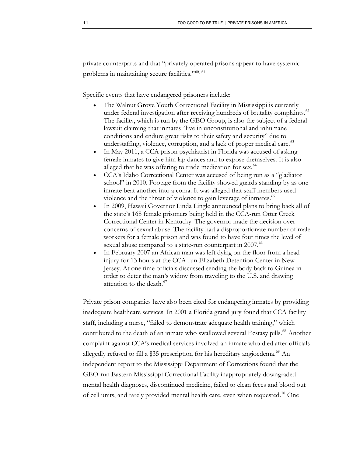private counterparts and that "privately operated prisons appear to have systemic problems in maintaining secure facilities."<sup>[60](#page-21-15), [61](#page-21-16)</sup>

Specific events that have endangered prisoners include:

- The Walnut Grove Youth Correctional Facility in Mississippi is currently under federal investigation after receiving hundreds of brutality complaints.<sup>[62](#page-21-17)</sup> The facility, which is run by the GEO Group, is also the subject of a federal lawsuit claiming that inmates "live in unconstitutional and inhumane conditions and endure great risks to their safety and security" due to understaffing, violence, corruption, and a lack of proper medical care.<sup>[63](#page-21-18)</sup>
- In May 2011, a CCA prison psychiatrist in Florida was accused of asking female inmates to give him lap dances and to expose themselves. It is also alleged that he was offering to trade medication for sex.<sup>[64](#page-21-19)</sup>
- CCA's Idaho Correctional Center was accused of being run as a "gladiator school" in 2010. Footage from the facility showed guards standing by as one inmate beat another into a coma. It was alleged that staff members used violence and the threat of violence to gain leverage of inmates.<sup>[65](#page-21-20)</sup>
- In 2009, Hawaii Governor Linda Lingle announced plans to bring back all of the state's 168 female prisoners being held in the CCA-run Otter Creek Correctional Center in Kentucky. The governor made the decision over concerns of sexual abuse. The facility had a disproportionate number of male workers for a female prison and was found to have four times the level of sexual abuse compared to a state-run counterpart in 2007.<sup>[66](#page-21-21)</sup>
- In February 2007 an African man was left dying on the floor from a head injury for 13 hours at the CCA-run Elizabeth Detention Center in New Jersey. At one time officials discussed sending the body back to Guinea in order to deter the man's widow from traveling to the U.S. and drawing attention to the death.<sup>[67](#page-21-22)</sup>

Private prison companies have also been cited for endangering inmates by providing inadequate healthcare services. In 2001 a Florida grand jury found that CCA facility staff, including a nurse, "failed to demonstrate adequate health training," which contributed to the death of an inmate who swallowed several Ecstasy pills.<sup>[68](#page-21-23)</sup> Another complaint against CCA's medical services involved an inmate who died after officials allegedly refused to fill a \$35 prescription for his hereditary angioedema.<sup>[69](#page-21-24)</sup> An independent report to the Mississippi Department of Corrections found that the GEO-run Eastern Mississippi Correctional Facility inappropriately downgraded mental health diagnoses, discontinued medicine, failed to clean feces and blood out of cell units, and rarely provided mental health care, even when requested.<sup>[70](#page-21-25)</sup> One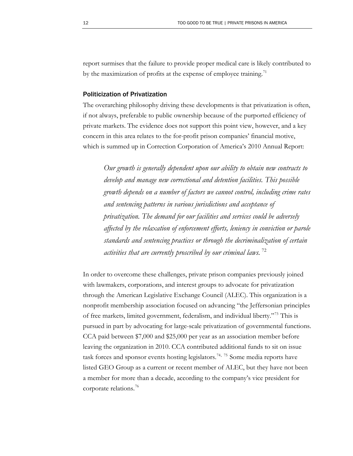report surmises that the failure to provide proper medical care is likely contributed to by the maximization of profits at the expense of employee training.<sup>11</sup>

#### Politicization of Privatization

The overarching philosophy driving these developments is that privatization is often, if not always, preferable to public ownership because of the purported efficiency of private markets. The evidence does not support this point view, however, and a key concern in this area relates to the for-profit prison companies' financial motive, which is summed up in Correction Corporation of America's 2010 Annual Report:

*Our growth is generally dependent upon our ability to obtain new contracts to develop and manage new correctional and detention facilities. This possible growth depends on a number of factors we cannot control, including crime rates and sentencing patterns in various jurisdictions and acceptance of privatization. The demand for our facilities and services could be adversely affected by the relaxation of enforcement efforts, leniency in conviction or parole standards and sentencing practices or through the decriminalization of certain activities that are currently proscribed by our criminal laws.* [72](#page-22-1)

In order to overcome these challenges, private prison companies previously joined with lawmakers, corporations, and interest groups to advocate for privatization through the American Legislative Exchange Council (ALEC). This organization is a nonprofit membership association focused on advancing "the Jeffersonian principles of free markets, limited government, federalism, and individual liberty."[73](#page-22-2) This is pursued in part by advocating for large-scale privatization of governmental functions. CCA paid between \$7,000 and \$25,000 per year as an association member before leaving the organization in 2010. CCA contributed additional funds to sit on issue task forces and sponsor events hosting legislators.<sup>[74](#page-22-3), [75](#page-22-4)</sup> Some media reports have listed GEO Group as a current or recent member of ALEC, but they have not been a member for more than a decade, according to the company's vice president for corporate relations.<sup>[76](#page-22-5)</sup>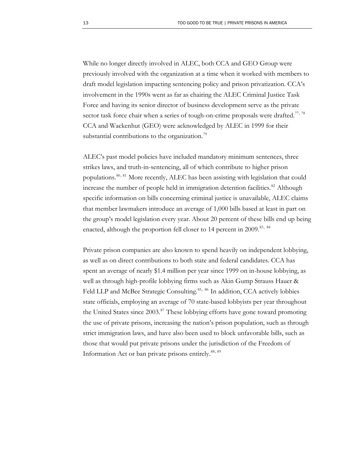While no longer directly involved in ALEC, both CCA and GEO Group were previously involved with the organization at a time when it worked with members to draft model legislation impacting sentencing policy and prison privatization. CCA's involvement in the 1990s went as far as chairing the ALEC Criminal Justice Task Force and having its senior director of business development serve as the private sector task force chair when a series of tough-on-crime proposals were drafted.<sup>[77](#page-22-6), [78](#page-22-7)</sup> CCA and Wackenhut (GEO) were acknowledged by ALEC in 1999 for their substantial contributions to the organization.<sup>[79](#page-22-8)</sup>

ALEC's past model policies have included mandatory minimum sentences, three strikes laws, and truth-in-sentencing, all of which contribute to higher prison populations.<sup>[80](#page-22-9), [81](#page-22-10)</sup> More recently, ALEC has been assisting with legislation that could increase the number of people held in immigration detention facilities.<sup>[82](#page-22-11)</sup> Although specific information on bills concerning criminal justice is unavailable, ALEC claims that member lawmakers introduce an average of 1,000 bills based at least in part on the group's model legislation every year. About 20 percent of these bills end up being enacted, although the proportion fell closer to 14 percent in 2009.<sup>[83](#page-22-12), [84](#page-22-13)</sup>

Private prison companies are also known to spend heavily on independent lobbying, as well as on direct contributions to both state and federal candidates. CCA has spent an average of nearly \$1.4 million per year since 1999 on in-house lobbying, as well as through high-profile lobbying firms such as Akin Gump Strauss Hauer & Feld LLP and McBee Strategic Consulting.<sup>[85](#page-22-14), [86](#page-22-15)</sup> In addition, CCA actively lobbies state officials, employing an average of 70 state-based lobbyists per year throughout the United States since 2003.<sup>[87](#page-22-16)</sup> These lobbying efforts have gone toward promoting the use of private prisons, increasing the nation's prison population, such as through strict immigration laws, and have also been used to block unfavorable bills, such as those that would put private prisons under the jurisdiction of the Freedom of Information Act or ban private prisons entirely.[88](#page-22-17), [89](#page-22-18)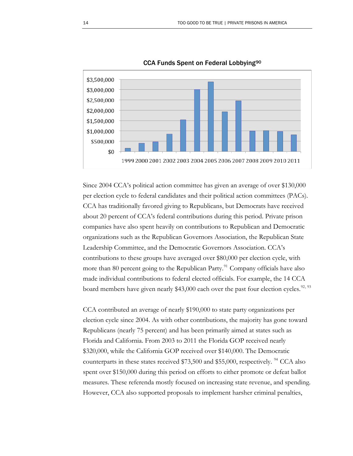

CCA Funds Spent on Federal Lobbying[90](#page-22-19)

Since 2004 CCA's political action committee has given an average of over \$130,000 per election cycle to federal candidates and their political action committees (PACs). CCA has traditionally favored giving to Republicans, but Democrats have received about 20 percent of CCA's federal contributions during this period. Private prison companies have also spent heavily on contributions to Republican and Democratic organizations such as the Republican Governors Association, the Republican State Leadership Committee, and the Democratic Governors Association. CCA's contributions to these groups have averaged over \$80,000 per election cycle, with more than 80 percent going to the Republican Party.<sup>[91](#page-22-20)</sup> Company officials have also made individual contributions to federal elected officials. For example, the 14 CCA board members have given nearly \$43,000 each over the past four election cycles.<sup>[92](#page-22-21), 93</sup>

CCA contributed an average of nearly \$190,000 to state party organizations per election cycle since 2004. As with other contributions, the majority has gone toward Republicans (nearly 75 percent) and has been primarily aimed at states such as Florida and California. From 2003 to 2011 the Florida GOP received nearly \$320,000, while the California GOP received over \$140,000. The Democratic counterparts in these states received  $$73,500$  and \$55,000, respectively. <sup>[94](#page-22-23)</sup> CCA also spent over \$150,000 during this period on efforts to either promote or defeat ballot measures. These referenda mostly focused on increasing state revenue, and spending. However, CCA also supported proposals to implement harsher criminal penalties,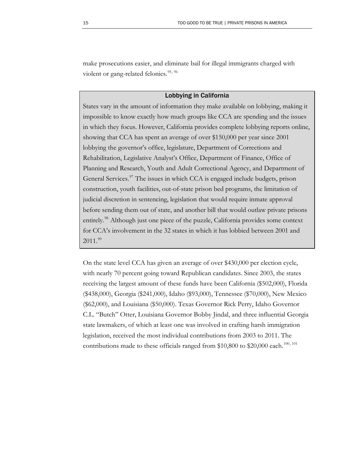make prosecutions easier, and eliminate bail for illegal immigrants charged with violent or gang-related felonies.<sup>[95](#page-22-24), [96](#page-22-25)</sup>

### Lobbying in California

States vary in the amount of information they make available on lobbying, making it impossible to know exactly how much groups like CCA are spending and the issues in which they focus. However, California provides complete lobbying reports online, showing that CCA has spent an average of over \$150,000 per year since 2001 lobbying the governor's office, legislature, Department of Corrections and Rehabilitation, Legislative Analyst's Office, Department of Finance, Office of Planning and Research, Youth and Adult Correctional Agency, and Department of General Services. $\frac{97}{7}$  $\frac{97}{7}$  $\frac{97}{7}$  The issues in which CCA is engaged include budgets, prison construction, youth facilities, out-of-state prison bed programs, the limitation of judicial discretion in sentencing, legislation that would require inmate approval before sending them out of state, and another bill that would outlaw private prisons entirely.<sup>[98](#page-22-27)</sup> Although just one piece of the puzzle, California provides some context for CCA's involvement in the 32 states in which it has lobbied between 2001 and  $2011.<sup>99</sup>$  $2011.<sup>99</sup>$  $2011.<sup>99</sup>$ 

On the state level CCA has given an average of over \$430,000 per election cycle, with nearly 70 percent going toward Republican candidates. Since 2003, the states receiving the largest amount of these funds have been California (\$502,000), Florida (\$438,000), Georgia (\$241,000), Idaho (\$93,000), Tennessee (\$70,000), New Mexico (\$62,000), and Louisiana (\$50,000). Texas Governor Rick Perry, Idaho Governor C.L. "Butch" Otter, Louisiana Governor Bobby Jindal, and three influential Georgia state lawmakers, of which at least one was involved in crafting harsh immigration legislation, received the most individual contributions from 2003 to 2011. The contributions made to these officials ranged from \$10,800 to \$20,000 each.<sup>[100](#page-23-1), 101</sup>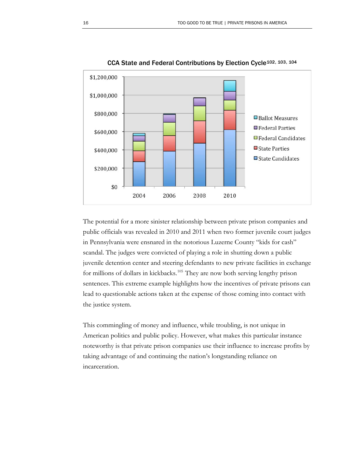

CCA State and Federal Contributions by Election Cycle[102](#page-23-3), [103](#page-23-4), [104](#page-23-5)

The potential for a more sinister relationship between private prison companies and public officials was revealed in 2010 and 2011 when two former juvenile court judges in Pennsylvania were ensnared in the notorious Luzerne County "kids for cash" scandal. The judges were convicted of playing a role in shutting down a public juvenile detention center and steering defendants to new private facilities in exchange for millions of dollars in kickbacks.<sup>[105](#page-23-6)</sup> They are now both serving lengthy prison sentences. This extreme example highlights how the incentives of private prisons can lead to questionable actions taken at the expense of those coming into contact with the justice system.

This commingling of money and influence, while troubling, is not unique in American politics and public policy. However, what makes this particular instance noteworthy is that private prison companies use their influence to increase profits by taking advantage of and continuing the nation's longstanding reliance on incarceration.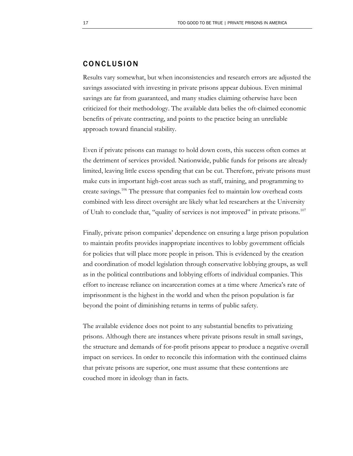### CONCLUSION

Results vary somewhat, but when inconsistencies and research errors are adjusted the savings associated with investing in private prisons appear dubious. Even minimal savings are far from guaranteed, and many studies claiming otherwise have been criticized for their methodology. The available data belies the oft-claimed economic benefits of private contracting, and points to the practice being an unreliable approach toward financial stability.

Even if private prisons can manage to hold down costs, this success often comes at the detriment of services provided. Nationwide, public funds for prisons are already limited, leaving little excess spending that can be cut. Therefore, private prisons must make cuts in important high-cost areas such as staff, training, and programming to create savings.<sup>106</sup> The pressure that companies feel to maintain low overhead costs combined with less direct oversight are likely what led researchers at the University of Utah to conclude that, "quality of services is not improved" in private prisons.<sup>[107](#page-23-7)</sup>

Finally, private prison companies' dependence on ensuring a large prison population to maintain profits provides inappropriate incentives to lobby government officials for policies that will place more people in prison. This is evidenced by the creation and coordination of model legislation through conservative lobbying groups, as well as in the political contributions and lobbying efforts of individual companies. This effort to increase reliance on incarceration comes at a time where America's rate of imprisonment is the highest in the world and when the prison population is far beyond the point of diminishing returns in terms of public safety.

The available evidence does not point to any substantial benefits to privatizing prisons. Although there are instances where private prisons result in small savings, the structure and demands of for-profit prisons appear to produce a negative overall impact on services. In order to reconcile this information with the continued claims that private prisons are superior, one must assume that these contentions are couched more in ideology than in facts.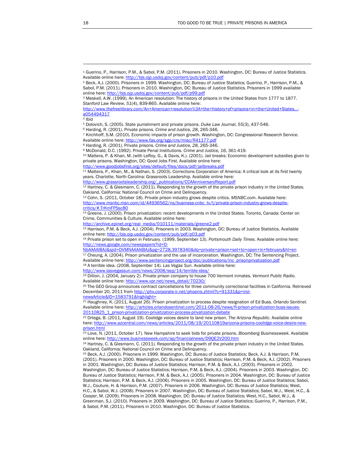<span id="page-19-4"></span><span id="page-19-3"></span>4 Ibid

<span id="page-19-11"></span>[http://www.msnbc.msn.com/id/44936562/ns/business-cnbc\\_tv/t/private-prison-industry-grows-despite](http://www.msnbc.msn.com/id/44936562/ns/business-cnbc_tv/t/private-prison-industry-grows-despite-critics/#.TrKmFPSsc80)[critics/#.TrKmFPSsc80](http://www.msnbc.msn.com/id/44936562/ns/business-cnbc_tv/t/private-prison-industry-grows-despite-critics/#.TrKmFPSsc80)

<span id="page-19-12"></span>14 Greene, J. (2000). Prison privatization: recent developments in the United States. Toronto, Canada: Center on Crime, Communities & Culture. Available online here:

<span id="page-19-13"></span>[http://archive.epinet.org/real\\_media/010111/materials/greene2.pdf](http://archive.epinet.org/real_media/010111/materials/greene2.pdf)

15 Harrison, P.M. & Beck, A.J. (2004). Prisoners in 2003. Washington, DC: Bureau of Justice Statistics. Available online here: <http://bjs.ojp.usdoj.gov/content/pub/pdf/p03.pdf>

<span id="page-19-14"></span>16 Private prison set to open in February. (1999, September 13). *Portsmouth Daily Times.* Available online here: [http://news.google.com/newspapers?id=D-](http://news.google.com/newspapers?id=D-NbAAAAIBAJ&sjid=DVMNAAAAIBAJ&pg=2728,3978340&dq=private+prison+set+to+open+in+february&hl=en)

[NbAAAAIBAJ&sjid=DVMNAAAAIBAJ&pg=2728,3978340&dq=private+prison+set+to+open+in+february&hl=en](http://news.google.com/newspapers?id=D-NbAAAAIBAJ&sjid=DVMNAAAAIBAJ&pg=2728,3978340&dq=private+prison+set+to+open+in+february&hl=en)

<span id="page-19-15"></span>17 Cheung, A. (2004). Prison privatization and the use of incarceration. Washington, DC: The Sentencing Project. Available online here: [http://www.sentencingproject.org/doc/publications/inc\\_prisonprivatization.pdf](http://www.sentencingproject.org/doc/publications/inc_prisonprivatization.pdf) 18 A terrible idea. (2008, September 14). *Las Vegas Sun*. Available online here:

<span id="page-19-16"></span><http://www.lasvegassun.com/news/2008/sep/14/terrible-idea/>

<span id="page-19-17"></span>19 Dillion, J. (2004, January 2). Private prison company to house 700 Vermont inmates. *Vermont Public Radio*. Available online here: [http://www.vpr.net/news\\_detail/70230/](http://www.vpr.net/news_detail/70230/)

<span id="page-19-18"></span><sup>20</sup> The GEO Group announces contract cancellations for three community correctional facilities in California. Retrieved December 20, 2011 from [http://phx.corporate-ir.net/phoenix.zhtml?c=91331&p=irol-](http://phx.corporate-ir.net/phoenix.zhtml?c=91331&p=irol-newsArticle&ID=1583791&highlight=)

<span id="page-19-19"></span>newsArticle&ID=1583791&highlight=<br><sup>21</sup> Haughney, K. (2011, August 26). Prison privatization to process despite resignation of Ed Buss. *Orlando Sentinel.* Available online here: [http://articles.orlandosentinel.com/2011-08-26/news/fl-prison-privatization-buss-issues-](http://articles.orlandosentinel.com/2011-08-26/news/fl-prison-privatization-buss-issues-20110825_1_prison-privatization-privatization-process-privatization-debate)[20110825\\_1\\_prison-privatization-privatization-process-privatization-debate](http://articles.orlandosentinel.com/2011-08-26/news/fl-prison-privatization-buss-issues-20110825_1_prison-privatization-privatization-process-privatization-debate)

<span id="page-19-20"></span>22 Ortega, B. (2011, August 19). Coolidge voices desire to land new prison. *The Arizona Republic*. Available online here: [http://www.azcentral.com/news/articles/2011/08/19/20110819arizona-prisons-coolidge-voice-desire-new](http://www.azcentral.com/news/articles/2011/08/19/20110819arizona-prisons-coolidge-voice-desire-new-prison.html)[prison.html](http://www.azcentral.com/news/articles/2011/08/19/20110819arizona-prisons-coolidge-voice-desire-new-prison.html)

<span id="page-19-21"></span>23 Love, N. (2011, October 17). New Hampshire to seek bids for private prisons. *Bloomberg Businessweek*. Available online here: http://www.businessweek.com/ap/financialnews/D9QE2V200.htm

<span id="page-19-22"></span><sup>24</sup> Hartney, C. & Glesmann, C. (2011). Responding to the growth of the private prison industry in the United States. Oakland, California: National Council on Crime and Delinquency.<br><sup>25</sup> Beck, A.J. (2000). Prisoners in 1999. Washington, DC: Bureau of Justice Statistics; Beck, A.J. & Harrison, P.M.

<span id="page-19-23"></span>(2001). Prisoners in 2000. Washington, DC: Bureau of Justice Statistics; Harrison, P.M. & Beck, A.J. (2002). Prisoners in 2001. Washington, DC: Bureau of Justice Statistics; Harrison, P.M. & Beck, A.J. (2003). Prisoners in 2002. Washington, DC: Bureau of Justice Statistics; Harrison, P.M. & Beck, A.J. (2004). Prisoners in 2003. Washington, DC: Bureau of Justice Statistics; Harrison, P.M. & Beck, A.J. (2005). Prisoners in 2004. Washington, DC: Bureau of Justice Statistics; Harrison, P.M. & Beck, A.J. (2006). Prisoners in 2005. Washington, DC: Bureau of Justice Statistics; Sabol, W.J., Couture, H. & Harrison, P.M. (2007). Prisoners in 2006. Washington, DC: Bureau of Justice Statistics; West, H.C., & Sabol, W.J. (2008). Prisoners in 2007. Washington, DC: Bureau of Justice Statistics; Sabol, W.J., West, H.C., & Cooper, M. (2009). Prisoners in 2008. Washington, DC: Bureau of Justice Statistics; West, H.C., Sabol, W.J., & Greenman, S.J. (2010). Prisoners in 2009. Washington, DC: Bureau of Justice Statistics; Guerino, P., Harrison, P.M., & Sabol, P.M. (2011). Prisoners in 2010. Washington, DC: Bureau of Justice Statistics.

<span id="page-19-0"></span><sup>1</sup> Guerino, P., Harrison, P.M., & Sabol, P.M. (2011). Prisoners in 2010. Washington, DC: Bureau of Justice Statistics. Available online here: http://bis.oip.usdoi.gov/content/pub/pdf/p10.pdf

<span id="page-19-1"></span><sup>2</sup> Beck, A.J. (2000). Prisoners in 1999. Washington, DC: Bureau of Justice Statistics; Guerino, P., Harrison, P.M., & Sabol, P.M. (2011). Prisoners in 2010. Washington, DC: Bureau of Justice Statistics. Prisoners in 1999 available online here: <http://bjs.ojp.usdoj.gov/content/pub/pdf/p99.pdf>

<span id="page-19-2"></span><sup>3</sup> Meskell, A.W. (1999). An American resolution: The history of prisons in the United States from 1777 to 1877. *Stanford Law Review*, *51*(4), 839-865. Available online here:

[http://www.thefreelibrary.com/An+American+resolution%3A+the+history+of+prisons+in+the+United+States...](http://www.thefreelibrary.com/An+American+resolution%3A+the+history+of+prisons+in+the+United+States...-a054494317) [a054494317](http://www.thefreelibrary.com/An+American+resolution%3A+the+history+of+prisons+in+the+United+States...-a054494317)

<span id="page-19-6"></span><span id="page-19-5"></span><sup>&</sup>lt;sup>5</sup> Dolovich, S. (2005). State punishment and private prisons. *Duke Law Journal*, 55(3), 437-546.<br><sup>6</sup> Harding, R. (2001). Private prisons. *Crime and Justice, 28*, 265-346.<br>7 Kirchhoff, S.M. (2010). Economic impacts of pr Available online here:<http://www.fas.org/sgp/crs/misc/R41177.pdf><br><sup>8</sup> Harding, R. (2001). Private prisons. Crime and Justice, 28, 265-346.

<span id="page-19-8"></span><span id="page-19-7"></span><sup>&</sup>lt;sup>9</sup> McDonald, D.C. (1992). Private Penal Institutions. Crime and Justice, 16, 361-419.<br><sup>10</sup> Mattera, P. & Khan, M. (with LeRoy, G., & Davis, K.). (2001). Jail breaks: Economic development subsidies given to private prisons. Washington, DC: Good Jobs First. Available online here:

<http://www.goodjobsfirst.org/sites/default/files/docs/pdf/jailbreaks.pdf>

<span id="page-19-9"></span><sup>11</sup> Mattera, P., Khan, M., & Nathan, S. (2003). Corrections Corporation of America: A critical look at its first twenty years. Charlotte, North Carolina: Grassroots Leadership. Available online here:

[http://www.grassrootsleadership.org/\\_publications/CCAAnniversaryReport.pdf](http://www.grassrootsleadership.org/_publications/CCAAnniversaryReport.pdf)

<span id="page-19-10"></span><sup>12</sup> Hartney, C. & Glesmann, C. (2011). Responding to the growth of the private prison industry in the United States. Oakland, California: National Council on Crime and Delinquency. 13 Cohn, S. (2011, October 18). Private prison industry grows despite critics. *MSNBC.com*. Available here: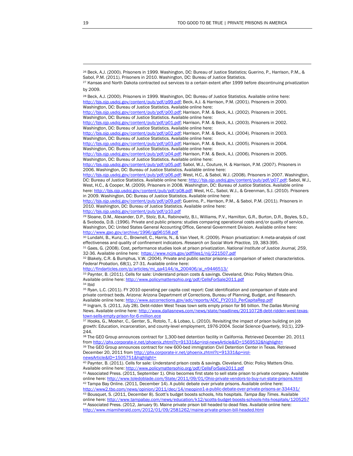<span id="page-20-2"></span>28 Beck, A.J. (2000). Prisoners in 1999. Washington, DC: Bureau of Justice Statistics. Available online here: [http://bjs.ojp.usdoj.gov/content/pub/pdf/p99.pdf;](http://bjs.ojp.usdoj.gov/content/pub/pdf/p99.pdf) Beck, A.J. & Harrison, P.M. (2001). Prisoners in 2000. Washington, DC: Bureau of Justice Statistics. Available online here:

[http://bjs.ojp.usdoj.gov/content/pub/pdf/p00.pdf;](http://bjs.ojp.usdoj.gov/content/pub/pdf/p00.pdf) Harrison, P.M. & Beck, A.J. (2002). Prisoners in 2001. Washington, DC: Bureau of Justice Statistics. Available online here:

[http://bjs.ojp.usdoj.gov/content/pub/pdf/p01.pdf;](http://bjs.ojp.usdoj.gov/content/pub/pdf/p01.pdf) Harrison, P.M. & Beck, A.J. (2003). Prisoners in 2002. Washington, DC: Bureau of Justice Statistics. Available online here:

[http://bjs.ojp.usdoj.gov/content/pub/pdf/p02.pdf;](http://bjs.ojp.usdoj.gov/content/pub/pdf/p02.pdf) Harrison, P.M. & Beck, A.J. (2004). Prisoners in 2003. Washington, DC: Bureau of Justice Statistics. Available online here:

[http://bjs.ojp.usdoj.gov/content/pub/pdf/p03.pdf;](http://bjs.ojp.usdoj.gov/content/pub/pdf/p03.pdf) Harrison, P.M. & Beck, A.J. (2005). Prisoners in 2004. Washington, DC: Bureau of Justice Statistics. Available online here:

[http://bjs.ojp.usdoj.gov/content/pub/pdf/p04.pdf;](http://bjs.ojp.usdoj.gov/content/pub/pdf/p04.pdf) Harrison, P.M. & Beck, A.J. (2006). Prisoners in 2005. Washington, DC: Bureau of Justice Statistics. Available online here:

[http://bjs.ojp.usdoj.gov/content/pub/pdf/p05.pdf;](http://bjs.ojp.usdoj.gov/content/pub/pdf/p05.pdf) Sabol, W.J., Couture, H. & Harrison, P.M. (2007). Prisoners in 2006. Washington, DC: Bureau of Justice Statistics. Available online here:

[http://bjs.ojp.usdoj.gov/content/pub/pdf/p06.pdf;](http://bjs.ojp.usdoj.gov/content/pub/pdf/p06.pdf) West, H.C., & Sabol, W.J. (2008). Prisoners in 2007. Washington, DC: Bureau of Justice Statistics. Available online here:<http://bjs.ojp.usdoj.gov/content/pub/pdf/p07.pdf>; Sabol, W.J., West, H.C., & Cooper, M. (2009). Prisoners in 2008. Washington, DC: Bureau of Justice Statistics. Available online here: [http://bjs.ojp.usdoj.gov/content/pub/pdf/p08.pdf;](http://bjs.ojp.usdoj.gov/content/pub/pdf/p08.pdf) West, H.C., Sabol, W.J., & Greenman, S.J. (2010). Prisoners in 2009. Washington, DC: Bureau of Justice Statistics. Available online here:

[http://bjs.ojp.usdoj.gov/content/pub/pdf/p09.pdf;](http://bjs.ojp.usdoj.gov/content/pub/pdf/p09.pdf) Guerino, P., Harrison, P.M., & Sabol, P.M. (2011). Prisoners in 2010. Washington, DC: Bureau of Justice Statistics. Available online here:

<http://bjs.ojp.usdoj.gov/content/pub/pdf/p10.pdf>

<span id="page-20-3"></span>29 Sloane, D.M., Alexander, D.P., Stolz, B.A., Rabinowitz, B.I., Williams, P.V., Hamilton, G.R., Burton, D.R., Boyles, S.D., & Svoboda, D.B. (1996). Private and public prisons: studies comparing operational costs and/or quality of service. Washington, DC: United States General Accounting Office, General Government Division. Available online here: <http://www.gao.gov/archive/1996/gg96158.pdf>

<span id="page-20-4"></span>30 Lundahl, B., Kunz, C., Brownell, C., Harris, N., & Van Vleet, R. (2009). Prison privatization: A meta-analysis of cost effectiveness and quality of confinement indicators. Research on Social Work Practice, 19, 383-395.<br><sup>31</sup> Gaes, G. (2008). Cost, performance studies look at prison privatization. National Institute of Justice Journal, 259,

<span id="page-20-5"></span>32-36. Available online here: <https://www.ncjrs.gov/pdffiles1/nij/221507.pdf>

<span id="page-20-6"></span>32 Blakely, C.R. & Bumphus, V.W. (2004). Private and public sector prisons—a comparison of select characteristics. *Federal Probation, 68*(1), 27-31. Available online here:

[http://findarticles.com/p/articles/mi\\_qa4144/is\\_200406/ai\\_n9446513/](http://findarticles.com/p/articles/mi_qa4144/is_200406/ai_n9446513/)

<span id="page-20-7"></span>33 Paynter, B. (2011). Cells for sale: Understand prison costs & savings. Cleveland, Ohio: Policy Matters Ohio. Available online here:<http://www.policymattersohio.org/pdf/CellsForSale2011.pdf> 34 Ibid

<span id="page-20-9"></span><span id="page-20-8"></span>35 Ryan, L.C. (2011). FY 2010 operating per capita cost report: Cost identification and comparison of state and private contract beds. Arizona: Arizona Department of Corrections, Bureau of Planning, Budget, and Research. Available online here: [http://www.azcorrections.gov/adc/reports/ADC\\_FY2010\\_PerCapitaRep.pdf](http://www.azcorrections.gov/adc/reports/ADC_FY2010_PerCapitaRep.pdf)

<span id="page-20-10"></span>36 Ingram, S. (2011, July 28). Debt-ridden West Texas town sells empty prison for \$6 billion. *The Dallas Morning News*. Available online here: [http://www.dallasnews.com/news/state/headlines/20110728-debt-ridden-west-texas](http://www.dallasnews.com/news/state/headlines/20110728-debt-ridden-west-texas-town-sells-empty-prison-for-6-million.ece)[town-sells-empty-prison-for-6-million.ece](http://www.dallasnews.com/news/state/headlines/20110728-debt-ridden-west-texas-town-sells-empty-prison-for-6-million.ece)

<span id="page-20-11"></span>37 Hooks, G., Mosher, C., Genter, S., Rotolo, T., & Lobao, L. (2010). Revisiting the impact of prison building on job growth: Education, incarceration, and county-level employment, 1976-2004. *Social Science Quarterly, 91*(1), 229- 244.

<span id="page-20-13"></span><span id="page-20-12"></span>38 The GEO Group announces contract for 1,300-bed detention facility in California. Retrieved December 20, 2011 from <http://phx.corporate-ir.net/phoenix.zhtml?c=91331&p=irol-newsArticle&ID=1569532&highlight=>39 The GEO Group announces contract for new 600-bed immigration Civil Detention Center in Texas. Retrieved December 20, 2011 from http://phx.corporate-ir.net/phoenix.zhtml?c=91331&p=irol-<br>newsArticle&ID=1505751&highlight=

<span id="page-20-14"></span>40 Paynter, B. (2011). Cells for sale: Understand prison costs & savings. Cleveland, Ohio: Policy Matters Ohio. Available online here:<http://www.policymattersohio.org/pdf/CellsForSale2011.pdf>

<span id="page-20-15"></span>41 Associated Press. (2011, September 1). Ohio becomes first state to sell state prison to private company. Available online here: <http://www.toledoblade.com/State/2011/09/01/Ohio-private-vendors-to-buy-run-state-prisons.html> 42 Tampa Bay Online. (2011, December 14). A public debate over private prisons. Available online here:

<span id="page-20-17"></span><span id="page-20-16"></span>http://www2.tbo.com/news/opinion/2011/dec/14/meopino1-a-public-debate-over-private-prisons-ar-334 43 Bousquet, S. (2011, December 8). Scott's budget boosts schools, hits hospitals. *Tampa Bay Times*. Available online here: <http://www.tampabay.com/news/education/k12/scotts-budget-boosts-schools-hits-hospitals/1205257>

<span id="page-20-18"></span>44 Associated Press. (2012, January 9). Maine private prison bill headed to dead files. Available online here: <http://www.miamiherald.com/2012/01/09/2581262/maine-private-prison-bill-headed.html>

<span id="page-20-0"></span><sup>26</sup> Beck, A.J. (2000). Prisoners in 1999. Washington, DC: Bureau of Justice Statistics; Guerino, P., Harrison, P.M., & Sabol, P.M. (2011). Prisoners in 2010. Washington, DC: Bureau of Justice Statistics.

<span id="page-20-1"></span><sup>27</sup> Kansas and North Dakota contracted out services to a certain extent after 1999 before discontinuing privatization by 2009.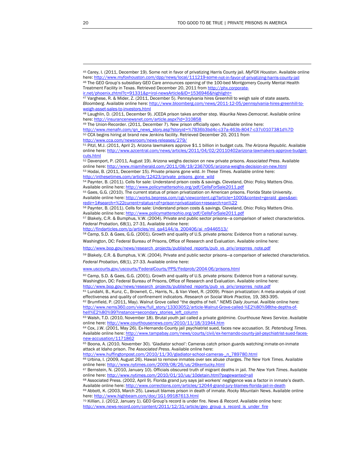49 The Union-Recorder. (2011, December 7). New prison officially open. Available online here:

<span id="page-21-4"></span>[http://www.menafn.com/qn\\_news\\_story.asp?storyid=%7B36b3bd4c-c37a-463b-8047-c37c0107381d%7D](http://www.menafn.com/qn_news_story.asp?storyid=%7B36b3bd4c-c37a-463b-8047-c37c0107381d%7D) 50 CCA begins hiring at brand new Jenkins facility. Retrieved December 20, 2011 from

<span id="page-21-6"></span><span id="page-21-5"></span>http://www.cca.com/newsroom/news-releases/279/<br><sup>51</sup> Pitzl, M.J. (2011, April 2). Arizona lawmakers approve \$1.1 billion in budget cuts. *The Arizona Republic*. Available online here: [http://www.azcentral.com/news/articles/2011/04/02/20110402arizona-lawmakers-approve-budget](http://www.azcentral.com/news/articles/2011/04/02/20110402arizona-lawmakers-approve-budget-cuts.html)[cuts.html](http://www.azcentral.com/news/articles/2011/04/02/20110402arizona-lawmakers-approve-budget-cuts.html)

<span id="page-21-8"></span><span id="page-21-7"></span>52 Davenport, P. (2011, August 19). Arizona weighs decision on new private prisons. *Associated Press*. Available online here: <http://www.miamiherald.com/2011/08/19/2367005/arizona-weighs-decision-on-new.html> 53 Hodai, B. (2011, December 15). Private prisons gone wild. *In These Times.* Available online here: [http://inthesetimes.com/article/12423/private\\_prisons\\_gone\\_wild](http://inthesetimes.com/article/12423/private_prisons_gone_wild)

<span id="page-21-9"></span>54 Paynter, B. (2011). Cells for sale: Understand prison costs & savings. Cleveland, Ohio: Policy Matters Ohio. Available online here:<http://www.policymattersohio.org/pdf/CellsForSale2011.pdf>

<span id="page-21-10"></span>55 Gaes, G.G. (2010). The current status of prison privatization on American prisons. Florida State University. Available online here: [http://works.bepress.com/cgi/viewcontent.cgi?article=1000&context=gerald\\_gaes&sei](http://works.bepress.com/cgi/viewcontent.cgi?article=1000&context=gerald_gaes&sei-redir=1#search=%22current+status+of+prison+privatization+research+on%22)[redir=1#search=%22current+status+of+prison+privatization+research+on%22](http://works.bepress.com/cgi/viewcontent.cgi?article=1000&context=gerald_gaes&sei-redir=1#search=%22current+status+of+prison+privatization+research+on%22)

<span id="page-21-11"></span>56 Paynter, B. (2011). Cells for sale: Understand prison costs & savings. Cleveland, Ohio: Policy Matters Ohio. Available online here:<http://www.policymattersohio.org/pdf/CellsForSale2011.pdf>

<span id="page-21-12"></span>57 Blakely, C.R. & Bumphus, V.W. (2004). Private and public sector prisons—a comparison of select characteristics. *Federal Probation, 68*(1), 27-31. Available online here:

<span id="page-21-13"></span>[http://findarticles.com/p/articles/mi\\_qa4144/is\\_200406/ai\\_n9446513/](http://findarticles.com/p/articles/mi_qa4144/is_200406/ai_n9446513/)

58 Camp, S.D. & Gaes, G.G. (2001). Growth and quality of U.S. private prisons: Evidence from a national survey.

Washington, DC: Federal Bureau of Prisons, Office of Research and Evaluation. Available online here:

<span id="page-21-14"></span>[http://www.bop.gov/news/research\\_projects/published\\_reports/pub\\_vs\\_priv/oreprres\\_note.pdf](http://www.bop.gov/news/research_projects/published_reports/pub_vs_priv/oreprres_note.pdf)

59 Blakely, C.R. & Bumphus, V.W. (2004). Private and public sector prisons—a comparison of selected characteristics. *Federal Probation, 68*(1), 27-33. Available online here:

[www.uscourts.gov/uscourts/FederalCourts/PPS/Fedprob/2004-06/prisons.html](http://www.uscourts.gov/uscourts/FederalCourts/PPS/Fedprob/2004-06/prisons.html)

<span id="page-21-15"></span>60 Camp, S.D. & Gaes, G.G. (2001). Growth and quality of U.S. private prisons: Evidence from a national survey. Washington, DC: Federal Bureau of Prisons, Office of Research and Evaluation. Available online here: [http://www.bop.gov/news/research\\_projects/published\\_reports/pub\\_vs\\_priv/oreprres\\_note.pdf](http://www.bop.gov/news/research_projects/published_reports/pub_vs_priv/oreprres_note.pdf)

<span id="page-21-16"></span>61 Lundahl, B., Kunz, C., Brownell, C., Harris, N., & Van Vleet, R. (2009). Prison privatization: A meta-analysis of cost effectiveness and quality of confinement indicators. Research on Social Work Practice, 19, 383-395.<br><sup>62</sup> Brumfield, P. (2011, May). Walnut Grove called "the depths of hell." NEMS Daily Journal. Availble online here:

<span id="page-21-17"></span>[http://www.nems360.com/view/full\\_story/13303052/article-Walnut-Grove-called-%E2%80%98the-depths-of](http://www.nems360.com/view/full_story/13303052/article-Walnut-Grove-called-%E2%80%98the-depths-of-hell%E2%80%99?instance=secondary_stories_left_column)[hell%E2%80%99?instance=secondary\\_stories\\_left\\_column](http://www.nems360.com/view/full_story/13303052/article-Walnut-Grove-called-%E2%80%98the-depths-of-hell%E2%80%99?instance=secondary_stories_left_column)

<span id="page-21-18"></span>63 Walsh, T.D. (2010, November 18). Brutal youth jail called a private goldmine. *Courthouse News Service*. Available online here: <http://www.courthousenews.com/2010/11/18/31944.htm>

<span id="page-21-19"></span>64 Cox, J.W. (2001, May 26). Ex-Hernando County jail psychiatrist sued, faces new accusation. *St. Petersburg Times.* Available online here: [http://www.tampabay.com/news/courts/civil/ex-hernando-county-jail-psychiatrist-sued-faces](http://www.tampabay.com/news/courts/civil/ex-hernando-county-jail-psychiatrist-sued-faces-new-accusation/1171862)new-accusation/1171862<br><sup>65</sup> Boona, A. (2010, November 30). 'Gladiator school': Cameras catch prison guards watching inmate-on-inmate

<span id="page-21-20"></span>attack at Idaho prison. *The Associated Press*. Available online here:

<span id="page-21-21"></span>[http://www.huffingtonpost.com/2010/11/30/gladiator-school-cameras-\\_n\\_789780.html](http://www.huffingtonpost.com/2010/11/30/gladiator-school-cameras-_n_789780.html)

66 Urbina, I. (2009, August 26). Hawaii to remove inmates over sex abuse charges. *The New York Times*. Available online here: <http://www.nytimes.com/2009/08/26/us/26kentucky.html>

<span id="page-21-22"></span>67 Bernstein, N. (2010, January 10). Officials obscured truth of migrant deaths in jail. *The New York Times*. Available online here: <http://www.nytimes.com/2010/01/10/us/10detain.html?pagewanted=all>

<span id="page-21-23"></span>68 Associated Press. (2002, April 9). Florida grand jury says jail workers' negligence was a factor in inmate's death. Available online here:<http://www.corrections.com/articles/12044-grand-jury-blames-florida-jail-in-death>

<span id="page-21-24"></span>69 Abbott, K. (2003, March 25). Lawsuit blames prison in death of inmate. *Rocky Mountain News*. Available online here:<http://www.highbeam.com/doc/1G1-99187613.html>

<span id="page-21-25"></span>70 Killian, J. (2012, January 1). GEO Group's record is under fire. *News & Record*. Available online here: [http://www.news-record.com/content/2011/12/31/article/geo\\_group\\_s\\_record\\_is\\_under\\_fire](http://www.news-record.com/content/2011/12/31/article/geo_group_s_record_is_under_fire)

<span id="page-21-1"></span><span id="page-21-0"></span><sup>45</sup> Carey, I. (2011, December 19). Some not in favor of privatizing Harris County jail. *MyFOX Houston*. Available online here:<http://www.myfoxhouston.com/dpp/news/local/111219-some-not-in-favor-of-privatizing-harris-county-jail> 46 The GEO Group's subsidiary GEO Care announces opening of the 100-bed Montgomery County Mental Health Treatment Facility in Texas. Retrieved December 20, 2011 from http://phx.corporate-<br>ir.net/phoenix.zhtml?c=91331&p=irol-newsArticle&ID=1536946&highlight=

<span id="page-21-2"></span>

<sup>&</sup>lt;sup>47</sup> Varghese, R. & Mider, Z. (2011, December 5). Pennsylvania hires Greenhill to weigh sale of state assets. *Bloomberg*. Available online here: [http://www.bloomberg.com/news/2011-12-05/pennsylvania-hires-greenhill-to](http://www.bloomberg.com/news/2011-12-05/pennsylvania-hires-greenhill-to-weigh-asset-sales-to-investors.html)sales-to-investors.html

<span id="page-21-3"></span><sup>48</sup> Laughlin, D. (2011, December 9). JCEDA prison takes another step. *Waurika News-Democrat*. Available online here:<http://insurancenewsnet.com/article.aspx?id=310858>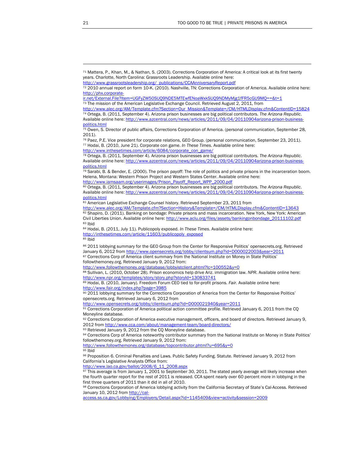$85$  Ibid

<http://www.followthemoney.org/database/lobbyistclient.phtml?lc=100552&y=0>

88 Sullivan, L. (2010, October 28). Prison economics help drive Ariz. immigration law. *NPR*. Available online here: <http://www.npr.org/templates/story/story.php?storyId=130833741>

89 Hodai, B. (2010, January). Freedom Forum CEO tied to for-profit prisons. *Fair*. Available online here:

<span id="page-22-19"></span><span id="page-22-18"></span><http://www.fair.org/index.php?page=3985><br><sup>90</sup> 2011 lobbying summary for the Corrections Corporation of America from the Center for Responsive Politics' opensecrets.org. Retrieved January 6, 2012 from

<http://www.opensecrets.org/lobby/clientsum.php?id=D000021940&year=2011>

<span id="page-22-20"></span>91 Corrections Corporation of America political action committee profile. Retrieved January 6, 2011 from the CQ Moneyline database.

<span id="page-22-21"></span>92 Corrections Corporation of America executive management, officers, and board of directors. Retrieved January 9, 2012 from<http://www.cca.com/about/management-team/board-directors/>

<span id="page-22-22"></span>93 Retrieved January 9, 2012 from the CQ Moneyline database.

94 Corrections Corp of America noteworthy contributor summary from the National Institute on Money in State Politics' followthemoney.org. Retrieved January 9, 2012 from:

<span id="page-22-24"></span><span id="page-22-23"></span><http://www.followthemoney.org/database/topcontributor.phtml?u=695&y=0> 95 Ibid

<span id="page-22-25"></span>96 Proposition 6. Criminal Penalties and Laws. Public Safety Funding. Statute. Retrieved January 9, 2012 from California's Legislative Analysts Office from:

[http://www.lao.ca.gov/ballot/2008/6\\_11\\_2008.aspx](http://www.lao.ca.gov/ballot/2008/6_11_2008.aspx)

<span id="page-22-26"></span> $97$  This average is from January 1, 2001 to September 30, 2011. The stated yearly average will likely increase when the fourth quarter report for the rest of 2011 is released. CCA spent nearly over 60 percent more in lobbying in the first three quarters of 2011 than it did in all of 2010.

<span id="page-22-27"></span>98 Corrections Corporation of America lobbying activity from the California Secretary of State's Cal-Access. Retrieved January 10, 2012 from [http://cal-](http://cal-access.ss.ca.gov/Lobbying/Employers/Detail.aspx?id=1145409&view=activity&session=2009)

[access.ss.ca.gov/Lobbying/Employers/Detail.aspx?id=1145409&view=activity&session=2009](http://cal-access.ss.ca.gov/Lobbying/Employers/Detail.aspx?id=1145409&view=activity&session=2009)

<span id="page-22-0"></span><sup>71</sup> Mattera, P., Khan, M., & Nathan, S. (2003). Corrections Corporation of America: A critical look at its first twenty years. Charlotte, North Carolina: Grassroots Leadership. Available online here:

[http://www.grassrootsleadership.org/\\_publications/CCAAnniversaryReport.pdf](http://www.grassrootsleadership.org/_publications/CCAAnniversaryReport.pdf)

<span id="page-22-1"></span><sup>72 2010</sup> annual report on form 10-K. (2010). Nashville, TN: Corrections Corporation of America. Available online here: [http://phx.corporate-](http://phx.corporate-ir.net/External.File?item=UGFyZW50SUQ9NDE5MTEwfENoaWxkSUQ9NDMyMjg1fFR5cGU9MQ==&t=1)

[ir.net/External.File?item=UGFyZW50SUQ9NDE5MTEwfENoaWxkSUQ9NDMyMjg1fFR5cGU9MQ==&t=1](http://phx.corporate-ir.net/External.File?item=UGFyZW50SUQ9NDE5MTEwfENoaWxkSUQ9NDMyMjg1fFR5cGU9MQ==&t=1)

<span id="page-22-2"></span><sup>&</sup>lt;sup>73</sup> The mission of the American Legislative Exchange Council. Retrieved August 2, 2011, from

<span id="page-22-3"></span>[http://www.alec.org/AM/Template.cfm?Section=Our\\_Mission&Template=/CM/HTMLDisplay.cfm&ContentID=15824](http://www.alec.org/AM/Template.cfm?Section=Our_Mission&Template=/CM/HTMLDisplay.cfm&ContentID=15824) 74 Ortega, B. (2011, September 4). Arizona prison businesses are big political contributors. *The Arizona Republic*. Available online here: [http://www.azcentral.com/news/articles/2011/09/04/20110904arizona-prison-business](http://www.azcentral.com/news/articles/2011/09/04/20110904arizona-prison-business-politics.html)[politics.html](http://www.azcentral.com/news/articles/2011/09/04/20110904arizona-prison-business-politics.html)

<span id="page-22-4"></span><sup>75</sup> Owen, S. Director of public affairs, Corrections Corporation of America. (personal communication, September 28, 2011).

<span id="page-22-5"></span><sup>76</sup> Paez, P.E. Vice president for corporate relations, GEO Group. (personal communication, September 23, 2011). 77 Hodai, B. (2010, June 21). Corporate con game. *In These Times*. Available online here:

<span id="page-22-6"></span>[http://www.inthesetimes.com/article/6084/corporate\\_con\\_game/](http://www.inthesetimes.com/article/6084/corporate_con_game/)

<span id="page-22-7"></span><sup>78</sup> Ortega, B. (2011, September 4). Arizona prison businesses are big political contributors. *The Arizona Republic*. Available online here: [http://www.azcentral.com/news/articles/2011/09/04/20110904arizona-prison-business](http://www.azcentral.com/news/articles/2011/09/04/20110904arizona-prison-business-politics.html)[politics.html](http://www.azcentral.com/news/articles/2011/09/04/20110904arizona-prison-business-politics.html)

<span id="page-22-8"></span><sup>79</sup> Sarabi, B. & Bender, E. (2000). The prison payoff: The role of politics and private prisons in the incarceration boom. Helena, Montana: Western Prison Project and Western States Center. Available online here: [http://www.iamsaam.org/userimages/Prison\\_Payoff\\_Report\\_WPP\\_2000.pdf](http://www.iamsaam.org/userimages/Prison_Payoff_Report_WPP_2000.pdf)

<span id="page-22-9"></span><sup>80</sup> Ortega, B. (2011, September 4). Arizona prison businesses are big political contributors. *The Arizona Republic*.

Available online here: [http://www.azcentral.com/news/articles/2011/09/04/20110904arizona-prison-business](http://www.azcentral.com/news/articles/2011/09/04/20110904arizona-prison-business-politics.html)[politics.html](http://www.azcentral.com/news/articles/2011/09/04/20110904arizona-prison-business-politics.html)

<sup>81</sup> American Legislative Exchange Counsel history. Retrieved September 23, 2011 from<br>http://www.alec.org/AM/Template.cfm?Section=History&Template=/CM/HTMLDisplay.cfm&ContentID=13643

<span id="page-22-11"></span><span id="page-22-10"></span><sup>82</sup> Shapiro, D. (2011). Banking on bondage: Private prisons and mass incarceration. New York, New York: American Civil Liberties Union. Available online here: [http://www.aclu.org/files/assets/bankingonbondage\\_20111102.pdf](http://www.aclu.org/files/assets/bankingonbondage_20111102.pdf) 83 Ibid

<span id="page-22-13"></span><span id="page-22-12"></span><sup>84</sup> Hodai, B. (2011, July 11). Publicopoly exposed. *In These Times*. Available online here:

[http://inthesetimes.com/article/11603/publicopoly\\_exposed](http://inthesetimes.com/article/11603/publicopoly_exposed)

<span id="page-22-15"></span><span id="page-22-14"></span><sup>86 2011</sup> lobbying summary for the GEO Group from the Center for Responsive Politics' opensecrets.org. Retrieved<br>January 6, 2012 from http://www.opensecrets.org/lobby/clientsum.php?id=D000022003&year=2011 87 Corrections Corp of America client summary from the National Institute on Money in State Politics'

<span id="page-22-17"></span><span id="page-22-16"></span>followthemoney.org. Retrieved January 9, 2012 from: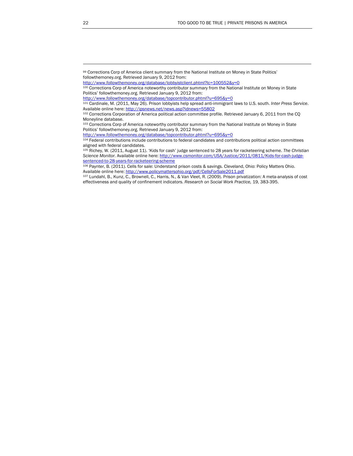<span id="page-23-0"></span><sup>99</sup> Corrections Corp of America client summary from the National Institute on Money in State Politics' followthemoney.org. Retrieved January 9, 2012 from:

<span id="page-23-1"></span><http://www.followthemoney.org/database/lobbyistclient.phtml?lc=100552&y=0>

<sup>100</sup> Corrections Corp of America noteworthy contributor summary from the National Institute on Money in State Politics' followthemoney.org. Retrieved January 9, 2012 from:

<http://www.followthemoney.org/database/topcontributor.phtml?u=695&y=0>

<span id="page-23-2"></span><sup>101</sup> Cardinale, M. (2011, May 26). Prison lobbyists help spread anti-immigrant laws to U.S. south. *Inter Press Service*. Available online here:<http://ipsnews.net/news.asp?idnews=55802>

<span id="page-23-3"></span><sup>102</sup> Corrections Corporation of America political action committee profile. Retrieved January 6, 2011 from the CQ Moneyline database.

<span id="page-23-4"></span><sup>103</sup> Corrections Corp of America noteworthy contributor summary from the National Institute on Money in State Politics' followthemoney.org. Retrieved January 9, 2012 from:

<span id="page-23-5"></span>http://www.followthemoney.org/database/topcontributor.phtml?u=695&y=0<br><sup>104</sup> Federal contributions include contributions to federal candidates and contributions political action committees aligned with federal candidates.

<span id="page-23-6"></span><sup>105</sup> Richey, W. (2011, August 11). 'Kids for cash' judge sentenced to 28 years for racketeering scheme. *The Christian Science Monitor*. Available online here: [http://www.csmonitor.com/USA/Justice/2011/0811/Kids-for-cash-judge](http://www.csmonitor.com/USA/Justice/2011/0811/Kids-for-cash-judge-sentenced-to-28-years-for-racketeering-scheme)[sentenced-to-28-years-for-racketeering-scheme](http://www.csmonitor.com/USA/Justice/2011/0811/Kids-for-cash-judge-sentenced-to-28-years-for-racketeering-scheme)

<sup>106</sup> Paynter, B. (2011). Cells for sale: Understand prison costs & savings. Cleveland, Ohio: Policy Matters Ohio. Available online here:<http://www.policymattersohio.org/pdf/CellsForSale2011.pdf>

<span id="page-23-7"></span><sup>107</sup> Lundahl, B., Kunz, C., Brownell, C., Harris, N., & Van Vleet, R. (2009). Prison privatization: A meta-analysis of cost effectiveness and quality of confinement indicators. *Research on Social Work Practice,* 19, 383-395.